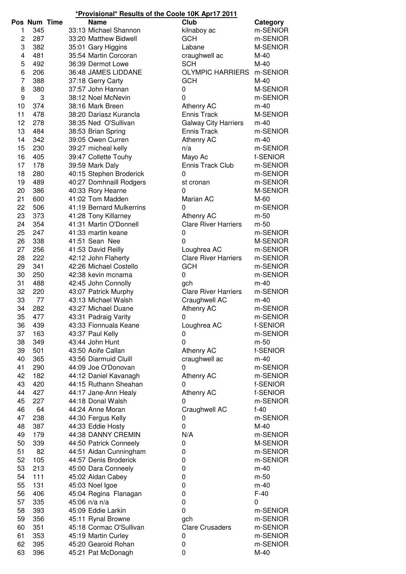| *Provisional* Results of the Coole 10K Apr17 2011 |  |  |  |  |  |  |
|---------------------------------------------------|--|--|--|--|--|--|
|---------------------------------------------------|--|--|--|--|--|--|

|          | Pos Num Time |  | <b>Name</b>                                   | Club                        | Category             |
|----------|--------------|--|-----------------------------------------------|-----------------------------|----------------------|
| 1        | 345          |  | 33:13 Michael Shannon                         | kilnaboy ac                 | m-SENIOR             |
| 2        | 287          |  | 33:20 Matthew Bidwell                         | <b>GCH</b>                  | m-SENIOR             |
| 3        | 382          |  | 35:01 Gary Higgins                            | Labane                      | M-SENIOR             |
| 4        | 481          |  | 35:54 Martin Corcoran                         | craughwell ac               | $M-40$               |
| 5        | 492          |  | 36:39 Dermot Lowe                             | <b>SCH</b>                  | $M-40$               |
| 6        | 206          |  | 36:48 JAMES LIDDANE                           | <b>OLYMPIC HARRIERS</b>     | m-SENIOR             |
| 7        | 388          |  | 37:18 Gerry Carty                             | <b>GCH</b>                  | $M-40$               |
| 8        | 380          |  | 37:57 John Hannan                             | 0                           | M-SENIOR             |
| 9        | 3            |  | 38:12 Noel McNevin                            | $\mathbf 0$                 | m-SENIOR             |
| 10       | 374          |  | 38:16 Mark Breen                              | Athenry AC                  | $m-40$               |
| 11       | 478          |  | 38:20 Dariasz Kurancla                        | <b>Ennis Track</b>          | M-SENIOR             |
| 12       | 278          |  | 38:35 Ned O'Sullivan                          | <b>Galway City Harriers</b> | $m-40$               |
| 13       | 484          |  | 38:53 Brian Spring                            | Ennis Track                 | m-SENIOR             |
| 14       | 342          |  | 39:05 Owen Curren                             | Athenry AC                  | $m-40$               |
| 15       | 230          |  | 39:27 micheal kelly                           | n/a                         | m-SENIOR             |
| 16       | 405          |  | 39:47 Collette Touhy                          | Mayo Ac                     | f-SENIOR             |
| 17       | 178          |  | 39:59 Mark Daly                               | Ennis Track Club            | m-SENIOR             |
| 18       | 280          |  | 40:15 Stephen Broderick                       | 0                           | m-SENIOR             |
| 19       | 489          |  | 40:27 Domhnaill Rodgers                       | st cronan                   | m-SENIOR             |
| 20       | 386          |  | 40:33 Rory Hearne                             | $\mathbf{0}$                | M-SENIOR             |
| 21       | 600          |  | 41:02 Tom Madden                              | Marian AC                   | M-60                 |
| 22       | 506          |  | 41:19 Bernard Mulkerrins                      | $\mathbf{0}$                | m-SENIOR             |
| 23       | 373          |  | 41:28 Tony Killarney                          | Athenry AC                  | m-50                 |
| 24       | 354          |  | 41:31 Martin O'Donnell                        | <b>Clare River Harriers</b> | m-50                 |
| 25       | 247          |  | 41:33 martin keane                            | 0                           | m-SENIOR             |
| 26       | 338          |  | 41:51 Sean Nee                                | $\overline{0}$              | M-SENIOR             |
| 27       | 256          |  | 41:53 David Reilly                            | Loughrea AC                 | m-SENIOR             |
| 28       | 222          |  | 42:12 John Flaherty                           | <b>Clare River Harriers</b> | m-SENIOR             |
| 29       | 341          |  | 42:26 Michael Costello                        | <b>GCH</b>                  | m-SENIOR             |
| 30       | 250          |  | 42:38 kevin mcnama                            | 0                           | m-SENIOR             |
| 31       | 488          |  | 42:45 John Connolly                           | gch                         | $m-40$               |
| 32       | 220          |  | 43:07 Patrick Murphy                          | <b>Clare River Harriers</b> | m-SENIOR             |
| 33       | 77           |  | 43:13 Michael Walsh                           | Craughwell AC               | $m-40$               |
| 34       | 282          |  | 43:27 Michael Duane                           | <b>Athenry AC</b>           | m-SENIOR             |
| 35       | 477<br>439   |  | 43:31 Padraig Varity<br>43:33 Fionnuala Keane | 0                           | m-SENIOR<br>f-SENIOR |
| 36<br>37 | 163          |  | 43:37 Paul Kelly                              | Loughrea AC                 | m-SENIOR             |
| 38       | 349          |  | 43:44 John Hunt                               | 0<br>$\mathbf 0$            | m-50                 |
| 39       | 501          |  | 43:50 Aoife Callan                            | <b>Athenry AC</b>           | f-SENIOR             |
| 40       | 365          |  | 43:56 Diarmuid Cluill                         | craughwell ac               | $m-40$               |
| 41       | 290          |  | 44:09 Joe O'Donovan                           | 0                           | m-SENIOR             |
| 42       | 182          |  | 44:12 Daniel Kavanagh                         | Athenry AC                  | m-SENIOR             |
| 43       | 420          |  | 44:15 Ruthann Sheahan                         | 0                           | f-SENIOR             |
| 44       | 427          |  | 44:17 Jane-Ann Healy                          | Athenry AC                  | f-SENIOR             |
| 45       | 227          |  | 44:18 Donal Walsh                             | 0                           | m-SENIOR             |
| 46       | 64           |  | 44:24 Anne Moran                              | Craughwell AC               | $f-40$               |
| 47       | 238          |  | 44:30 Fergus Kelly                            | 0                           | m-SENIOR             |
| 48       | 387          |  | 44:33 Eddie Hosty                             | 0                           | M-40                 |
| 49       | 179          |  | 44:38 DANNY CREMIN                            | N/A                         | m-SENIOR             |
| 50       | 339          |  | 44:50 Patrick Conneely                        | 0                           | M-SENIOR             |
| 51       | 82           |  | 44:51 Aidan Cunningham                        | 0                           | m-SENIOR             |
| 52       | 105          |  | 44:57 Denis Broderick                         | 0                           | m-SENIOR             |
| 53       | 213          |  | 45:00 Dara Conneely                           | 0                           | $m-40$               |
| 54       | 111          |  | 45:02 Aidan Cabey                             | 0                           | m-50                 |
| 55       | 131          |  | 45:03 Noel Igoe                               | 0                           | $m-40$               |
| 56       | 406          |  | 45:04 Regina Flanagan                         | 0                           | $F-40$               |
| 57       | 335          |  | 45:06 n/a n/a                                 | 0                           | 0                    |
| 58       | 393          |  | 45:09 Eddie Larkin                            | $\pmb{0}$                   | m-SENIOR             |
| 59       | 356          |  | 45:11 Rynal Browne                            | gch                         | m-SENIOR             |
| 60       | 351          |  | 45:18 Cormac O'Sullivan                       | <b>Clare Crusaders</b>      | m-SENIOR             |
| 61       | 353          |  | 45:19 Martin Curley                           | 0                           | m-SENIOR             |
| 62       | 395          |  | 45:20 Gearoid Rohan                           | 0                           | m-SENIOR             |
| 63       | 396          |  | 45:21 Pat McDonagh                            | $\mathbf 0$                 | $M-40$               |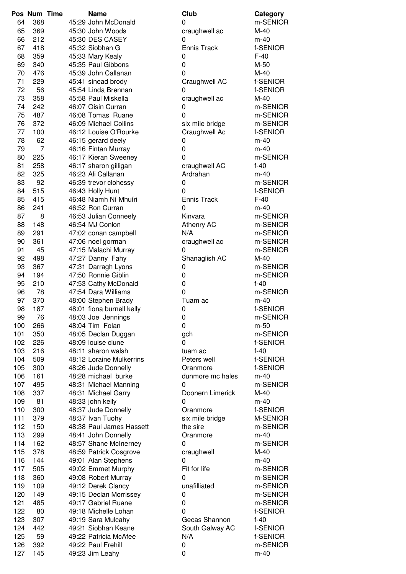|     | Pos Num Time   | <b>Name</b>               | Club               | Category |
|-----|----------------|---------------------------|--------------------|----------|
| 64  | 368            | 45:29 John McDonald       | 0                  | m-SENIO  |
| 65  | 369            | 45:30 John Woods          | craughwell ac      | M-40     |
| 66  | 212            | 45:30 DES CASEY           | 0                  | $m-40$   |
| 67  | 418            | 45:32 Siobhan G           | <b>Ennis Track</b> | f-SENIOR |
| 68  | 359            | 45:33 Mary Kealy          | 0                  | $F-40$   |
| 69  | 340            | 45:35 Paul Gibbons        | 0                  | M-50     |
| 70  | 476            | 45:39 John Callanan       | 0                  | $M-40$   |
|     |                |                           |                    |          |
| 71  | 229            | 45:41 sinead brody        | Craughwell AC      | f-SENIOR |
| 72  | 56             | 45:54 Linda Brennan       | 0                  | f-SENIOR |
| 73  | 358            | 45:58 Paul Miskella       | craughwell ac      | $M-40$   |
| 74  | 242            | 46:07 Oisin Curran        | 0                  | m-SENIO  |
| 75  | 487            | 46:08 Tomas Ruane         | 0                  | m-SENIO  |
| 76  | 372            | 46:09 Michael Collins     | six mile bridge    | m-SENIO  |
| 77  | 100            | 46:12 Louise O'Rourke     | Craughwell Ac      | f-SENIOR |
| 78  | 62             | 46:15 gerard deely        | 0                  | $m-40$   |
| 79  | $\overline{7}$ | 46:16 Fintan Murray       | 0                  | $m-40$   |
| 80  | 225            | 46:17 Kieran Sweeney      | 0                  | m-SENIO  |
| 81  | 258            | 46:17 sharon gilligan     | craughwell AC      | $f-40$   |
| 82  | 325            | 46:23 Ali Callanan        | Ardrahan           | $m-40$   |
|     |                |                           |                    |          |
| 83  | 92             | 46:39 trevor clohessy     | 0                  | m-SENIO  |
| 84  | 515            | 46:43 Holly Hunt          | 0                  | f-SENIOR |
| 85  | 415            | 46:48 Niamh Ní Mhuíri     | <b>Ennis Track</b> | $F-40$   |
| 86  | 241            | 46:52 Ron Curran          | 0                  | $m-40$   |
| 87  | 8              | 46:53 Julian Conneely     | Kinvara            | m-SENIO  |
| 88  | 148            | 46:54 MJ Conlon           | Athenry AC         | m-SENIO  |
| 89  | 291            | 47:02 conan campbell      | N/A                | m-SENIO  |
| 90  | 361            | 47:06 noel gorman         | craughwell ac      | m-SENIO  |
| 91  | 45             | 47:15 Malachi Murray      | 0                  | m-SENIO  |
| 92  | 498            | 47:27 Danny Fahy          | Shanaglish AC      | $M-40$   |
| 93  | 367            | 47:31 Darragh Lyons       | 0                  | m-SENIO  |
| 94  | 194            | 47:50 Ronnie Giblin       | 0                  | m-SENIO  |
| 95  | 210            |                           | 0                  | $f-40$   |
|     |                | 47:53 Cathy McDonald      |                    |          |
| 96  | 78             | 47:54 Dara Williams       | $\mathbf 0$        | m-SENIO  |
| 97  | 370            | 48:00 Stephen Brady       | Tuam ac            | $m-40$   |
| 98  | 187            | 48:01 fiona burnell kelly | 0                  | f-SENIOR |
| 99  | 76             | 48:03 Joe Jennings        | 0                  | m-SENIO  |
| 100 | 266            | 48:04 Tim Folan           | 0                  | m-50     |
| 101 | 350            | 48:05 Declan Duggan       | gch                | m-SENIO  |
| 102 | 226            | 48:09 louise clune        | 0                  | f-SENIOR |
| 103 | 216            | 48:11 sharon walsh        | tuam ac            | $f-40$   |
| 104 | 509            | 48:12 Loraine Mulkerrins  | Peters well        | f-SENIOR |
| 105 | 300            | 48:26 Jude Donnelly       | Oranmore           | f-SENIOR |
| 106 | 161            | 48:28 michael burke       | dunmore mc hales   | $m-40$   |
| 107 | 495            | 48:31 Michael Manning     | 0                  | m-SENIO  |
| 108 | 337            | 48:31 Michael Garry       | Doonern Limerick   | M-40     |
|     |                |                           |                    |          |
| 109 | 81             | 48:33 john kelly          | 0                  | $m-40$   |
| 110 | 300            | 48:37 Jude Donnelly       | Oranmore           | f-SENIOR |
| 111 | 379            | 48:37 Ivan Tuohy          | six mile bridge    | M-SENIOI |
| 112 | 150            | 48:38 Paul James Hassett  | the sire           | m-SENIO  |
| 113 | 299            | 48:41 John Donnelly       | Oranmore           | $m-40$   |
| 114 | 162            | 48:57 Shane McInerney     | 0                  | m-SENIO  |
| 115 | 378            | 48:59 Patrick Cosgrove    | craughwell         | $M-40$   |
| 116 | 144            | 49:01 Alan Stephens       | 0                  | $m-40$   |
| 117 | 505            | 49:02 Emmet Murphy        | Fit for life       | m-SENIO  |
| 118 | 360            | 49:08 Robert Murray       | 0                  | m-SENIO  |
| 119 | 109            | 49:12 Derek Clancy        | unafilliated       | m-SENIO  |
|     | 149            |                           |                    | m-SENIO  |
| 120 |                | 49:15 Declan Morrissey    | 0                  |          |
| 121 | 485            | 49:17 Gabriel Ruane       | 0                  | m-SENIO  |
| 122 | 80             | 49:18 Michelle Lohan      | 0                  | f-SENIOR |
| 123 | 307            | 49:19 Sara Mulcahy        | Gecas Shannon      | $f-40$   |
| 124 | 442            | 49:21 Siobhan Keane       | South Galway AC    | f-SENIOR |
| 125 | 59             | 49:22 Patricia McAfee     | N/A                | f-SENIOR |
| 126 | 392            | 49:22 Paul Frehill        | 0                  | m-SENIO  |
| 127 | 145            | 49:23 Jim Leahy           | 0                  | $m-40$   |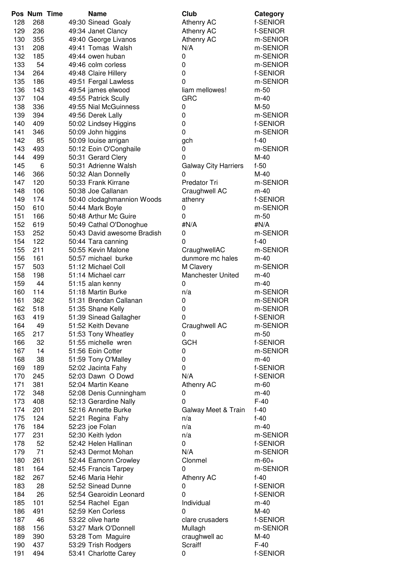|     | Pos Num Time |  | <b>Name</b>                 | Club                        | Category   |
|-----|--------------|--|-----------------------------|-----------------------------|------------|
| 128 | 268          |  | 49:30 Sinead Goaly          | Athenry AC                  | f-SENIOR   |
| 129 | 236          |  | 49:34 Janet Clancy          | Athenry AC                  | f-SENIOR   |
| 130 | 355          |  | 49:40 George Livanos        | Athenry AC                  | m-SENIOR   |
| 131 | 208          |  | 49:41 Tomas Walsh           | N/A                         | m-SENIOR   |
| 132 | 185          |  | 49:44 owen huban            | 0                           | m-SENIOR   |
| 133 | 54           |  | 49:46 colm corless          | 0                           | m-SENIOR   |
| 134 | 264          |  | 49:48 Claire Hillery        | $\pmb{0}$                   | f-SENIOR   |
| 135 | 186          |  | 49:51 Fergal Lawless        | $\mathbf 0$                 | m-SENIOR   |
| 136 | 143          |  | 49:54 james elwood          | liam mellowes!              | m-50       |
| 137 | 104          |  | 49:55 Patrick Scully        | <b>GRC</b>                  | $m-40$     |
| 138 | 336          |  | 49:55 Nial McGuinness       | 0                           | $M-50$     |
| 139 | 394          |  | 49:56 Derek Lally           | 0                           | m-SENIOR   |
| 140 | 409          |  |                             | 0                           | f-SENIOR   |
| 141 | 346          |  | 50:02 Lindsey Higgins       | 0                           | m-SENIOR   |
| 142 | 85           |  | 50:09 John higgins          |                             | $f-40$     |
| 143 |              |  | 50:09 louise arrigan        | gch                         | m-SENIOR   |
|     | 493<br>499   |  | 50:12 Eoin O'Conghaile      | 0                           |            |
| 144 |              |  | 50:31 Gerard Clery          | 0                           | M-40       |
| 145 | 6            |  | 50:31 Adrienne Walsh        | <b>Galway City Harriers</b> | $f-50$     |
| 146 | 366          |  | 50:32 Alan Donnelly         | 0                           | $M-40$     |
| 147 | 120          |  | 50:33 Frank Kirrane         | Predator Tri                | m-SENIOR   |
| 148 | 106          |  | 50:38 Joe Callanan          | Craughwell AC               | $m-40$     |
| 149 | 174          |  | 50:40 clodaghmannion Woods  | athenry                     | f-SENIOR   |
| 150 | 610          |  | 50:44 Mark Boyle            | 0                           | m-SENIOR   |
| 151 | 166          |  | 50:48 Arthur Mc Guire       | 0                           | m-50       |
| 152 | 619          |  | 50:49 Cathal O'Donoghue     | #N/A                        | #N/A       |
| 153 | 252          |  | 50:43 David awesome Bradish | 0                           | m-SENIOR   |
| 154 | 122          |  | 50:44 Tara canning          | 0                           | $f-40$     |
| 155 | 211          |  | 50:55 Kevin Malone          | CraughwellAC                | m-SENIOR   |
| 156 | 161          |  | 50:57 michael burke         | dunmore mc hales            | $m-40$     |
| 157 | 503          |  | 51:12 Michael Coll          | M Clavery                   | m-SENIOR   |
| 158 | 198          |  | 51:14 Michael carr          | <b>Manchester United</b>    | $m-40$     |
| 159 | 44           |  | 51:15 alan kenny            | 0                           | $m-40$     |
| 160 | 114          |  | 51:18 Martin Burke          | n/a                         | m-SENIOR   |
| 161 | 362          |  | 51:31 Brendan Callanan      | 0                           | m-SENIOR   |
| 162 | 518          |  | 51:35 Shane Kelly           | 0                           | m-SENIOR   |
| 163 | 419          |  | 51:39 Sinead Gallagher      | 0                           | f-SENIOR   |
| 164 | 49           |  | 51:52 Keith Devane          | Craughwell AC               | m-SENIOR   |
| 165 | 217          |  | 51:53 Tony Wheatley         | 0                           | m-50       |
| 166 | 32           |  | 51:55 michelle wren         | <b>GCH</b>                  | f-SENIOR   |
| 167 | 14           |  | 51:56 Eoin Cotter           | 0                           | m-SENIOR   |
| 168 | 38           |  | 51:59 Tony O'Malley         | 0                           | $m-40$     |
| 169 | 189          |  | 52:02 Jacinta Fahy          | 0                           | f-SENIOR   |
| 170 | 245          |  | 52:03 Dawn O Dowd           | N/A                         | f-SENIOR   |
| 171 | 381          |  | 52:04 Martin Keane          | <b>Athenry AC</b>           | m-60       |
| 172 | 348          |  | 52:08 Denis Cunningham      | 0                           | $m-40$     |
| 173 | 408          |  | 52:13 Gerardine Nally       | 0                           | $F-40$     |
| 174 | 201          |  | 52:16 Annette Burke         | Galway Meet & Train         | $f-40$     |
| 175 | 124          |  | 52:21 Regina Fahy           | n/a                         | $f-40$     |
| 176 | 184          |  | 52:23 joe Folan             | n/a                         | $m-40$     |
| 177 | 231          |  | 52:30 Keith lydon           | n/a                         | m-SENIOR   |
| 178 | 52           |  | 52:42 Helen Hallinan        | 0                           | f-SENIOR   |
| 179 | 71           |  | 52:43 Dermot Mohan          | N/A                         | m-SENIOR   |
| 180 | 261          |  | 52:44 Eamonn Crowley        | Clonmel                     | $m - 60 +$ |
| 181 | 164          |  | 52:45 Francis Tarpey        | 0                           | m-SENIOR   |
| 182 | 267          |  | 52:46 Maria Hehir           | Athenry AC                  | $f-40$     |
| 183 | 28           |  | 52:52 Sinead Dunne          | 0                           | f-SENIOR   |
| 184 | 26           |  | 52:54 Gearoidin Leonard     | $\mathbf 0$                 | f-SENIOR   |
| 185 | 101          |  | 52:54 Rachel Egan           | Individual                  | $m-40$     |
| 186 | 491          |  | 52:59 Ken Corless           | 0                           | $M-40$     |
| 187 | 46           |  | 53:22 olive harte           | clare crusaders             | f-SENIOR   |
| 188 | 156          |  | 53:27 Mark O'Donnell        | Mullagh                     | m-SENIOR   |
| 189 | 390          |  | 53:28 Tom Maguire           | craughwell ac               | $M-40$     |
| 190 | 437          |  | 53:29 Trish Rodgers         | <b>Scraiff</b>              | $F-40$     |
| 191 | 494          |  | 53:41 Charlotte Carey       | 0                           | f-SENIOR   |
|     |              |  |                             |                             |            |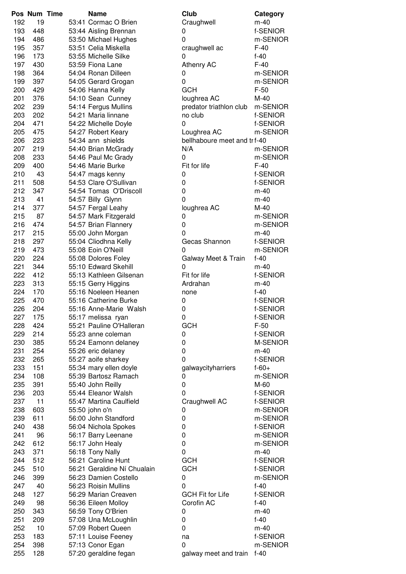|     | Pos Num Time | <b>Name</b>                 | Club                         | Category   |
|-----|--------------|-----------------------------|------------------------------|------------|
| 192 | 19           | 53:41 Cormac O Brien        | Craughwell                   | $m-40$     |
| 193 | 448          | 53:44 Aisling Brennan       | 0                            | f-SENIOR   |
| 194 | 486          | 53:50 Michael Hughes        | 0                            | m-SENIOR   |
| 195 | 357          | 53:51 Celia Miskella        | craughwell ac                | $F-40$     |
| 196 | 173          | 53:55 Michelle Silke        | 0                            | $f-40$     |
| 197 | 430          | 53:59 Fiona Lane            | Athenry AC                   | $F-40$     |
| 198 | 364          | 54:04 Ronan Dilleen         | 0                            | m-SENIOR   |
| 199 | 397          | 54:05 Gerard Grogan         | 0                            | m-SENIOR   |
| 200 | 429          | 54:06 Hanna Kelly           | <b>GCH</b>                   | $F-50$     |
| 201 | 376          | 54:10 Sean Cunney           | loughrea AC                  | $M-40$     |
| 202 | 239          | 54:14 Fergus Mullins        | predator triathlon club      | m-SENIOR   |
| 203 | 202          | 54:21 Maria linnane         | no club                      | f-SENIOR   |
| 204 | 471          | 54:22 Michelle Doyle        | 0                            | f-SENIOR   |
| 205 | 475          | 54:27 Robert Keary          | Loughrea AC                  | m-SENIOR   |
| 206 | 223          | 54:34 ann shields           | bellhaboure meet and tr f-40 |            |
| 207 | 219          | 54:40 Brian McGrady         | N/A                          | m-SENIOR   |
| 208 | 233          | 54:46 Paul Mc Grady         | 0                            | m-SENIOR   |
| 209 | 400          | 54:46 Marie Burke           | Fit for life                 | $F-40$     |
| 210 | 43           | 54:47 mags kenny            | 0                            | f-SENIOR   |
| 211 | 508          | 54:53 Clare O'Sullivan      | 0                            | f-SENIOR   |
| 212 | 347          | 54:54 Tomas O'Driscoll      | 0                            | $m-40$     |
| 213 | 41           | 54:57 Billy Glynn           | 0                            | $m-40$     |
| 214 | 377          | 54:57 Fergal Leahy          | loughrea AC                  | $M-40$     |
| 215 | 87           | 54:57 Mark Fitzgerald       | 0                            | m-SENIOR   |
| 216 | 474          | 54:57 Brian Flannery        | 0                            | m-SENIOR   |
| 217 | 215          | 55:00 John Morgan           | 0                            | $m-40$     |
| 218 | 297          | 55:04 Cliodhna Kelly        | Gecas Shannon                | f-SENIOR   |
| 219 | 473          | 55:08 Eoin O'Neill          | 0                            | m-SENIOR   |
| 220 | 224          | 55:08 Dolores Foley         | Galway Meet & Train          | $f-40$     |
| 221 | 344          | 55:10 Edward Skehill        | 0                            | $m-40$     |
| 222 | 412          | 55:13 Kathleen Gilsenan     | Fit for life                 | f-SENIOR   |
| 223 | 313          | 55:15 Gerry Higgins         | Ardrahan                     | $m-40$     |
| 224 | 170          | 55:16 Noeleen Heanen        | none                         | $f-40$     |
| 225 | 470          | 55:16 Catherine Burke       | 0                            | f-SENIOR   |
| 226 | 204          | 55:16 Anne-Marie Walsh      | 0                            | f-SENIOR   |
| 227 | 175          | 55:17 melissa ryan          | 0                            | f-SENIOR   |
| 228 | 424          | 55:21 Pauline O'Halleran    | <b>GCH</b>                   | $F-50$     |
| 229 | 214          | 55:23 anne coleman          | 0                            | f-SENIOR   |
| 230 | 385          | 55:24 Eamonn delaney        | 0                            | M-SENIOR   |
| 231 | 254          | 55:26 eric delaney          | 0                            | $m-40$     |
| 232 | 265          | 55:27 aoife sharkey         | 0                            | f-SENIOR   |
| 233 | 151          | 55:34 mary ellen doyle      | galwaycityharriers           | $f - 60 +$ |
| 234 | 108          | 55:39 Bartosz Ramach        | 0                            | m-SENIOR   |
| 235 | 391          | 55:40 John Reilly           | 0                            | M-60       |
| 236 | 203          | 55:44 Eleanor Walsh         | 0                            | f-SENIOR   |
| 237 | 11           | 55:47 Martina Caulfield     | Craughwell AC                | f-SENIOR   |
| 238 | 603          | 55:50 john o'n              | 0                            | m-SENIOR   |
| 239 | 611          | 56:00 John Standford        | 0                            | m-SENIOR   |
| 240 | 438          | 56:04 Nichola Spokes        | 0                            | f-SENIOR   |
| 241 | 96           | 56:17 Barry Leenane         | 0                            | m-SENIOR   |
| 242 | 612          | 56:17 John Healy            | 0                            | m-SENIOR   |
| 243 | 371          | 56:18 Tony Nally            | 0                            | $m-40$     |
| 244 | 512          | 56:21 Caroline Hunt         | <b>GCH</b>                   | f-SENIOR   |
| 245 | 510          | 56:21 Geraldine Ní Chualain | <b>GCH</b>                   | f-SENIOR   |
| 246 | 399          | 56:23 Damien Costello       | 0                            | m-SENIOR   |
| 247 | 40           | 56:23 Roisin Mullins        | 0                            | $f-40$     |
| 248 | 127          | 56:29 Marian Creaven        | <b>GCH Fit for Life</b>      | f-SENIOR   |
| 249 | 98           | 56:36 Eileen Molloy         | Corofin AC                   | $f-40$     |
| 250 | 343          | 56:59 Tony O'Brien          | 0                            | $m-40$     |
| 251 | 209          | 57:08 Una McLoughlin        | 0                            | $f-40$     |
| 252 | 10           | 57:09 Robert Queen          | 0                            | $m-40$     |
| 253 | 183          | 57:11 Louise Feeney         | na                           | f-SENIOR   |
| 254 | 398          | 57:13 Conor Egan            | 0                            | m-SENIOR   |
| 255 | 128          | 57:20 geraldine fegan       | galway meet and train        | $f-40$     |

| U⊔u                          | Calegory   |
|------------------------------|------------|
| Craughwell                   | $m-40$     |
| J                            | f-SENIOR   |
| Ć                            | m-SENIOR   |
| craughwell ac                | $F-40$     |
| ງ                            | $f-40$     |
| Athenry AC                   | $F-40$     |
| ງ                            | m-SENIOR   |
|                              |            |
| $\overline{1}$               | m-SENIOR   |
| <b>GCH</b>                   | $F-50$     |
| oughrea AC                   | M-40       |
| oredator triathlon club      | m-SENIOR   |
| าo club                      | f-SENIOR   |
| C                            | f-SENIOR   |
|                              |            |
| _oughrea AC                  | m-SENIOR   |
| bellhaboure meet and tr f-40 |            |
| V/A                          | m-SENIOR   |
| J                            | m-SENIOR   |
| Fit for life                 | $F-40$     |
|                              | f-SENIOR   |
| $\mathfrak{I}$               |            |
| $\mathfrak{c}$               | f-SENIOR   |
| $\mathfrak{z}$               | m-40       |
| $\overline{1}$               | $m-40$     |
| oughrea AC                   | $M-40$     |
| $\mathfrak{I}$               | m-SENIOR   |
| $\mathfrak{z}$               | m-SENIOR   |
|                              |            |
| $\overline{1}$               | $m-40$     |
| Gecas Shannon                | f-SENIOR   |
| J                            | m-SENIOR   |
| Galway Meet & Train          | $f-40$     |
| C                            | $m-40$     |
| Fit for life                 | f-SENIOR   |
|                              |            |
| Ardrahan                     | $m-40$     |
| าone                         | $f-40$     |
| $\mathfrak{I}$               | f-SENIOR   |
| $\mathfrak{I}$               | f-SENIOR   |
| $\overline{1}$               | f-SENIOR   |
| ЭСН                          | $F-50$     |
|                              |            |
|                              | f-SENIOR   |
| ว<br>ว<br>ว                  | M-SENIOR   |
|                              | $m-40$     |
|                              | f-SENIOR   |
| galwaycityharriers           | $f - 60 +$ |
|                              | m-SENIOR   |
| ว<br>ว<br>ว                  |            |
|                              | M-60       |
|                              | f-SENIOR   |
| Craughwell AC                | f-SENIOR   |
|                              | m-SENIOR   |
|                              | m-SENIOR   |
|                              | f-SENIOR   |
| CC<br>CC<br>CCC<br>CC        |            |
|                              | m-SENIOR   |
|                              | m-SENIOR   |
|                              | $m-40$     |
| ЭСН                          | f-SENIOR   |
| ЭСН                          | f-SENIOR   |
|                              |            |
| $\mathfrak{c}$               | m-SENIOR   |
|                              | $f-40$     |
| <b>GCH Fit for Life</b>      | f-SENIOR   |
| Corofin AC                   | $f-40$     |
|                              | $m-40$     |
| ว<br>ว                       | $f-40$     |
|                              |            |
| Ć                            | $m-40$     |
| ٦a                           | f-SENIOR   |
| ງ                            | m-SENIOR   |
| galway meet and train        | $f-40$     |
|                              |            |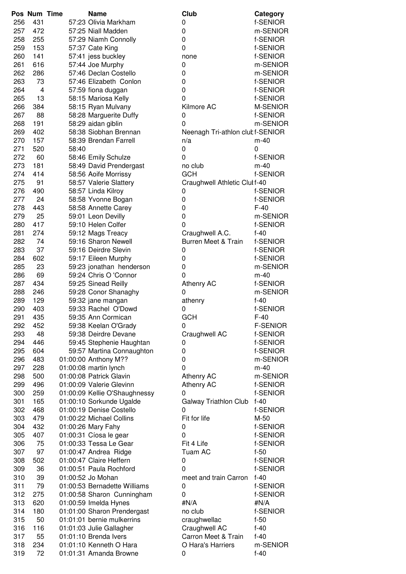|     | Pos Num Time |       | <b>Name</b>                   | Club                             | Category        |
|-----|--------------|-------|-------------------------------|----------------------------------|-----------------|
| 256 | 431          |       | 57:23 Olivia Markham          | 0                                | f-SENIOR        |
| 257 | 472          |       | 57:25 Niall Madden            | 0                                | m-SENIOR        |
| 258 | 255          |       | 57:29 Niamh Connolly          | 0                                | f-SENIOR        |
| 259 | 153          |       | 57:37 Cate King               | 0                                | f-SENIOR        |
| 260 | 141          |       | 57:41 jess buckley            | none                             | f-SENIOR        |
| 261 | 616          |       | 57:44 Joe Murphy              | 0                                | m-SENIOR        |
| 262 | 286          |       | 57:46 Declan Costello         | 0                                | m-SENIOR        |
| 263 | 73           |       | 57:46 Elizabeth Conlon        | 0                                | f-SENIOR        |
| 264 | 4            |       | 57:59 fiona duggan            | 0                                | f-SENIOR        |
| 265 | 13           |       | 58:15 Mariosa Kelly           | 0                                | f-SENIOR        |
| 266 | 384          |       | 58:15 Ryan Mulvany            | Kilmore AC                       | M-SENIOR        |
| 267 | 88           |       | 58:28 Marguerite Duffy        | 0                                | f-SENIOR        |
| 268 | 191          |       | 58:29 aidan giblin            | 0                                | m-SENIOR        |
| 269 | 402          |       | 58:38 Siobhan Brennan         | Neenagh Tri-athlon clut f-SENIOR |                 |
| 270 | 157          |       | 58:39 Brendan Farrell         | n/a                              | $m-40$          |
| 271 | 520          | 58:40 |                               | 0                                | 0               |
| 272 | 60           |       | 58:46 Emily Schulze           | 0                                | f-SENIOR        |
| 273 | 181          |       | 58:49 David Prendergast       | no club                          | $m-40$          |
| 274 | 414          |       | 58:56 Aoife Morrissy          | <b>GCH</b>                       | f-SENIOR        |
| 275 | 91           |       | 58:57 Valerie Slattery        | Craughwell Athletic Clul f-40    |                 |
| 276 | 490          |       | 58:57 Linda Kilroy            | 0                                | f-SENIOR        |
| 277 | 24           |       | 58:58 Yvonne Bogan            | 0                                | f-SENIOR        |
| 278 | 443          |       | 58:58 Annette Carey           | 0                                | $F-40$          |
| 279 | 25           |       | 59:01 Leon Devilly            | 0                                | m-SENIOR        |
| 280 | 417          |       | 59:10 Helen Colfer            | 0                                | f-SENIOR        |
| 281 | 274          |       | 59:12 Mags Treacy             | Craughwell A.C.                  | $f-40$          |
| 282 | 74           |       | 59:16 Sharon Newell           | <b>Burren Meet &amp; Train</b>   | f-SENIOR        |
| 283 | 37           |       | 59:16 Deirdre Slevin          | 0                                | f-SENIOR        |
| 284 | 602          |       | 59:17 Eileen Murphy           | 0                                | f-SENIOR        |
| 285 | 23           |       | 59:23 jonathan henderson      | 0                                | m-SENIOR        |
| 286 | 69           |       | 59:24 Chris O 'Connor         | 0                                | $m-40$          |
| 287 | 434          |       | 59:25 Sinead Reilly           | Athenry AC                       | f-SENIOR        |
| 288 | 246          |       | 59:28 Conor Shanaghy          | 0                                | m-SENIOR        |
| 289 | 129          |       | 59:32 jane mangan             | athenry                          | $f-40$          |
| 290 | 403          |       | 59:33 Rachel O'Dowd           | 0                                | f-SENIOR        |
| 291 | 435          |       | 59:35 Ann Cormican            | <b>GCH</b>                       | $F-40$          |
| 292 | 452          |       | 59:38 Keelan O'Grady          | 0                                | <b>F-SENIOR</b> |
| 293 | 48           |       | 59:38 Deirdre Devane          | Craughwell AC                    | f-SENIOR        |
| 294 | 446          |       | 59:45 Stephenie Haughtan      | 0                                | f-SENIOR        |
| 295 | 604          |       | 59:57 Martina Connaughton     | 0                                | f-SENIOR        |
| 296 | 483          |       | 01:00:00 Anthony M??          | 0                                | m-SENIOR        |
| 297 | 228          |       | 01:00:08 martin lynch         | 0                                | $m-40$          |
| 298 | 500          |       | 01:00:08 Patrick Glavin       | <b>Athenry AC</b>                | m-SENIOR        |
| 299 | 496          |       | 01:00:09 Valerie Glevinn      | Athenry AC                       | f-SENIOR        |
| 300 | 259          |       | 01:00:09 Kellie O'Shaughnessy | 0                                | f-SENIOR        |
| 301 | 165          |       | 01:00:10 Sorkunde Ugalde      | <b>Galway Triathlon Club</b>     | $f-40$          |
| 302 | 468          |       | 01:00:19 Denise Costello      | 0                                | f-SENIOR        |
| 303 | 479          |       | 01:00:22 Michael Collins      | Fit for life                     | M-50            |
| 304 | 432          |       | 01:00:26 Mary Fahy            | 0                                | f-SENIOR        |
| 305 | 407          |       | 01:00:31 Cíosa le gear        | 0                                | f-SENIOR        |
| 306 | 75           |       | 01:00:33 Tessa Le Gear        | Fit 4 Life                       | f-SENIOR        |
| 307 | 97           |       | 01:00:47 Andrea Ridge         | Tuam AC                          | $f-50$          |
| 308 | 502          |       | 01:00:47 Claire Heffern       | 0                                | f-SENIOR        |
| 309 | 36           |       | 01:00:51 Paula Rochford       | $\mathbf 0$                      | f-SENIOR        |
| 310 | 39           |       | 01:00:52 Jo Mohan             | meet and train Carron            | $f-40$          |
| 311 | 79           |       | 01:00:53 Bernadette Williams  | 0                                | f-SENIOR        |
| 312 | 275          |       | 01:00:58 Sharon Cunningham    | 0                                | f-SENIOR        |
| 313 | 620          |       | 01:00:59 Imelda Hynes         | #N/A                             | #N/A            |
| 314 | 180          |       | 01:01:00 Sharon Prendergast   | no club                          | f-SENIOR        |
| 315 | 50           |       | 01:01:01 bernie mulkerrins    | craughwellac                     | $f-50$          |
| 316 | 116          |       | 01:01:03 Julie Gallagher      | Craughwell AC                    | $f-40$          |
| 317 | 55           |       | 01:01:10 Brenda Ivers         | Carron Meet & Train              | $f-40$          |
| 318 | 234          |       | 01:01:10 Kenneth O Hara       | O Hara's Harriers                | m-SENIOR        |
| 319 | 72           |       | 01:01:31 Amanda Browne        | 0                                | $f-40$          |
|     |              |       |                               |                                  |                 |

| Club                             | Category        |
|----------------------------------|-----------------|
| 0                                | f-SENIOR        |
| 0                                | m-SENIOR        |
| 0                                | f-SENIOR        |
| 0                                | f-SENIOR        |
| none                             | f-SENIOR        |
| 0                                | m-SENIOR        |
| 0                                | m-SENIOR        |
|                                  |                 |
| 0                                | f-SENIOR        |
| 0                                | f-SENIOR        |
| 0                                | f-SENIOR        |
| Kilmore AC                       | M-SENIOR        |
| 0                                | f-SENIOR        |
| 0                                | m-SENIOR        |
| Neenagh Tri-athlon clut f-SENIOR |                 |
| n/a                              | m-40            |
| 0                                | 0               |
| 0                                | f-SENIOR        |
| no club                          | $m-40$          |
| <b>GCH</b>                       | f-SENIOR        |
| Craughwell Athletic Clul f-40    |                 |
| 0                                | f-SENIOR        |
| 0                                | f-SENIOR        |
| 0                                | $F-40$          |
| 0                                | m-SENIOR        |
| 0                                | f-SENIOR        |
|                                  |                 |
| Craughwell A.C.                  | $f-40$          |
| Burren Meet & Train              | f-SENIOR        |
| 0                                | f-SENIOR        |
| 0                                | f-SENIOR        |
| 0                                | m-SENIOR        |
| 0                                | $m-40$          |
| <b>Athenry AC</b>                | f-SENIOR        |
| 0                                | m-SENIOR        |
| athenry                          | $f-40$          |
| 0                                | f-SENIOR        |
| GCH                              | $F-40$          |
| 0                                | <b>F-SENIOR</b> |
| Craughwell AC                    | f-SENIOR        |
| 0                                | f-SENIOR        |
| 0                                | f-SENIOR        |
| 0                                | m-SENIOR        |
| 0                                | $m-40$          |
| <b>Athenry AC</b>                | m-SENIOR        |
| <b>Athenry AC</b>                | f-SENIOR        |
| 0                                | f-SENIOR        |
| Galway Triathlon Club            | $f-40$          |
| 0                                | f-SENIOR        |
| Fit for life                     | M-50            |
|                                  |                 |
| 0                                | f-SENIOR        |
| 0                                | f-SENIOR        |
| Fit 4 Life                       | f-SENIOR        |
| Tuam AC                          | $f-50$          |
| 0                                | f-SENIOR        |
| 0                                | f-SENIOR        |
| meet and train Carron            | $f-40$          |
| 0                                | f-SENIOR        |
| 0                                | f-SENIOR        |
| #N/A                             | #N/A            |
| no club                          | f-SENIOR        |
| craughwellac                     | $f-50$          |
| Craughwell AC                    | $f-40$          |
| Carron Meet & Train              | $f-40$          |
| O Hara's Harriers                | m-SENIOR        |
| 0                                | $f-40$          |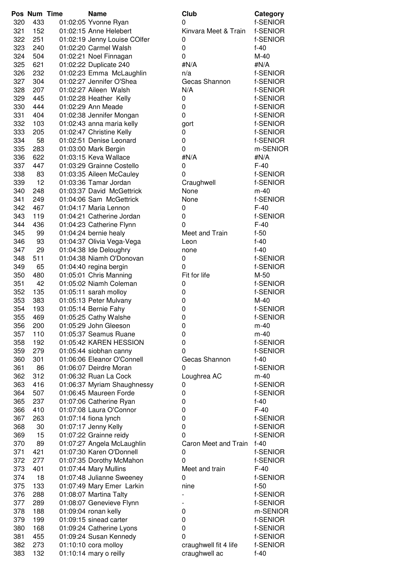|            | Pos Num Time | <b>Name</b>                                     | Club                  | Category |
|------------|--------------|-------------------------------------------------|-----------------------|----------|
| 320        | 433          | 01:02:05 Yvonne Ryan                            | 0                     | f-SENIOR |
| 321        | 152          | 01:02:15 Anne Helebert                          | Kinvara Meet & Train  | f-SENIOR |
| 322        | 251          | 01:02:19 Jenny Louise COlfer                    | 0                     | f-SENIOR |
| 323        | 240          | 01:02:20 Carmel Walsh                           | 0                     | $f-40$   |
| 324        | 504          | 01:02:21 Noel Finnagan                          | $\mathbf 0$           | $M-40$   |
| 325        | 621          | 01:02:22 Duplicate 240                          | #N/A                  | #N/A     |
| 326        | 232          | 01:02:23 Emma McLaughlin                        | n/a                   | f-SENIOR |
| 327        | 304          | 01:02:27 Jennifer O'Shea                        | Gecas Shannon         | f-SENIOR |
| 328        | 207          | 01:02:27 Aileen Walsh                           | N/A                   | f-SENIOR |
| 329        | 445          | 01:02:28 Heather Kelly                          | 0                     | f-SENIOR |
| 330        | 444          | 01:02:29 Ann Meade                              | 0                     | f-SENIOR |
| 331        | 404          | 01:02:38 Jennifer Mongan                        | $\mathbf 0$           | f-SENIOR |
| 332        | 103          | 01:02:43 anna maria kelly                       | gort                  | f-SENIOR |
| 333        | 205          | 01:02:47 Christine Kelly                        | 0                     | f-SENIOR |
| 334        | 58           | 01:02:51 Denise Leonard                         | 0                     | f-SENIOR |
| 335        | 283          | 01:03:00 Mark Bergin                            | 0                     | m-SENIOR |
| 336        | 622          | 01:03:15 Keva Wallace                           | #N/A                  | #N/A     |
| 337        | 447          | 01:03:29 Grainne Costello                       | 0                     | $F-40$   |
| 338        | 83           | 01:03:35 Aileen McCauley                        | 0                     | f-SENIOR |
| 339        | 12           | 01:03:36 Tamar Jordan                           | Craughwell            | f-SENIOR |
| 340        | 248          | 01:03:37 David McGettrick                       | None                  | $m-40$   |
| 341        | 249          | 01:04:06 Sam McGettrick                         | None                  | f-SENIOR |
| 342        | 467          | 01:04:17 Maria Lennon                           | 0                     | $F-40$   |
| 343        | 119          | 01:04:21 Catherine Jordan                       | $\mathbf 0$           | f-SENIOR |
| 344        | 436          | 01:04:23 Catherine Flynn                        | $\Omega$              | $F-40$   |
| 345        | 99           | 01:04:24 bernie healy                           | Meet and Train        | $f-50$   |
| 346        | 93           | 01:04:37 Olivia Vega-Vega                       | Leon                  | $f-40$   |
| 347        | 29           | 01:04:38 Ide Deloughry                          | none                  | $f-40$   |
| 348        | 511          | 01:04:38 Niamh O'Donovan                        | 0                     | f-SENIOR |
| 349        | 65           | 01:04:40 regina bergin                          | $\mathbf 0$           | f-SENIOR |
|            | 480          | 01:05:01 Chris Manning                          | Fit for life          | M-50     |
| 350        | 42           | 01:05:02 Niamh Coleman                          |                       | f-SENIOR |
| 351<br>352 | 135          |                                                 | 0<br>0                | f-SENIOR |
| 353        | 383          | 01:05:11 sarah molloy<br>01:05:13 Peter Mulvany | 0                     | $M-40$   |
| 354        |              |                                                 | $\mathbf 0$           | f-SENIOR |
|            | 193          | 01:05:14 Bernie Fahy                            |                       |          |
| 355        | 469          | 01:05:25 Cathy Walshe<br>01:05:29 John Gleeson  | 0                     | f-SENIOR |
| 356        | 200          |                                                 | 0                     | m-40     |
| 357        | 110          | 01:05:37 Seamus Ruane                           | 0<br>$\mathbf 0$      | m-40     |
| 358        | 192          | 01:05:42 KAREN HESSION                          |                       | f-SENIOR |
| 359        | 279          | 01:05:44 siobhan canny                          | 0                     | f-SENIOR |
| 360        | 301          | 01:06:06 Eleanor O'Connell                      | Gecas Shannon         | $f-40$   |
| 361        | 86           | 01:06:07 Deirdre Moran                          | $\mathbf{0}$          | f-SENIOR |
| 362        | 312          | 01:06:32 Ruan La Cock                           | Loughrea AC           | $m-40$   |
| 363        | 416          | 01:06:37 Myriam Shaughnessy                     | 0                     | f-SENIOR |
| 364        | 507          | 01:06:45 Maureen Forde                          | 0                     | f-SENIOR |
| 365        | 237          | 01:07:06 Catherine Ryan                         | 0                     | $f-40$   |
| 366        | 410          | 01:07:08 Laura O'Connor                         | 0                     | $F-40$   |
| 367        | 263          | 01:07:14 fiona lynch                            | 0                     | f-SENIOR |
| 368        | 30           | 01:07:17 Jenny Kelly                            | $\pmb{0}$             | f-SENIOR |
| 369        | 15           | 01:07:22 Grainne reidy                          | $\Omega$              | f-SENIOR |
| 370        | 89           | 01:07:27 Angela McLaughlin                      | Caron Meet and Train  | $f-40$   |
| 371        | 421          | 01:07:30 Karen O'Donnell                        | 0                     | f-SENIOR |
| 372        | 277          | 01:07:35 Dorothy McMahon                        | 0                     | f-SENIOR |
| 373        | 401          | 01:07:44 Mary Mullins                           | Meet and train        | $F-40$   |
| 374        | 18           | 01:07:48 Julianne Sweeney                       | 0                     | f-SENIOR |
| 375        | 133          | 01:07:49 Mary Emer Larkin                       | nine                  | $f-50$   |
| 376        | 288          | 01:08:07 Martina Talty                          |                       | f-SENIOR |
| 377        | 289          | 01:08:07 Genevieve Flynn                        |                       | f-SENIOR |
| 378        | 188          | 01:09:04 ronan kelly                            | 0                     | m-SENIOR |
| 379        | 199          | 01:09:15 sinead carter                          | 0                     | f-SENIOR |
| 380        | 168          | 01:09:24 Catherine Lyons                        | 0                     | f-SENIOR |
| 381        | 455          | 01:09:24 Susan Kennedy                          | 0                     | f-SENIOR |
| 382        | 273          | 01:10:10 cora molloy                            | craughwell fit 4 life | f-SENIOR |
| 383        | 132          | 01:10:14 mary o reilly                          | craughwell ac         | $f-40$   |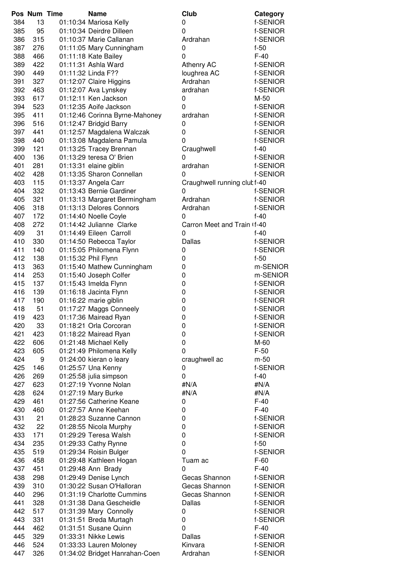|     | Pos Num Time | <b>Name</b>                    | Club                         | Category |
|-----|--------------|--------------------------------|------------------------------|----------|
| 384 | 13           | 01:10:34 Mariosa Kelly         | 0                            | f-SENIOR |
| 385 | 95           | 01:10:34 Deirdre Dilleen       | 0                            | f-SENIOR |
| 386 | 315          | 01:10:37 Marie Callanan        | Ardrahan                     | f-SENIOR |
| 387 | 276          | 01:11:05 Mary Cunningham       | 0                            | $f-50$   |
| 388 | 466          | 01:11:18 Kate Bailey           | 0                            | $F-40$   |
| 389 | 422          | 01:11:31 Ashla Ward            | Athenry AC                   | f-SENIOR |
| 390 | 449          | 01:11:32 Linda F??             | loughrea AC                  | f-SENIOR |
| 391 | 327          | 01:12:07 Claire Higgins        | Ardrahan                     | f-SENIOR |
| 392 | 463          | 01:12:07 Ava Lynskey           | ardrahan                     | f-SENIOR |
| 393 | 617          | 01:12:11 Ken Jackson           | 0                            | M-50     |
| 394 | 523          | 01:12:35 Aoife Jackson         | 0                            | f-SENIOR |
| 395 | 411          | 01:12:46 Corinna Byrne-Mahoney | ardrahan                     | f-SENIOR |
| 396 | 516          | 01:12:47 Bridgid Barry         | 0                            | f-SENIOR |
| 397 | 441          | 01:12:57 Magdalena Walczak     | 0                            | f-SENIOR |
| 398 | 440          | 01:13:08 Magdalena Pamula      | 0                            | f-SENIOR |
| 399 | 121          | 01:13:25 Tracey Brennan        | Craughwell                   | $f-40$   |
| 400 | 136          | 01:13:29 teresa O' Brien       | 0                            | f-SENIOR |
| 401 | 281          | 01:13:31 elaine giblin         | ardrahan                     | f-SENIOR |
| 402 | 428          | 01:13:35 Sharon Connellan      | 0                            | f-SENIOR |
| 403 | 115          | 01:13:37 Angela Carr           | Craughwell running clut f-40 |          |
| 404 | 332          | 01:13:43 Bernie Gardiner       | 0                            | f-SENIOR |
| 405 | 321          | 01:13:13 Margaret Bermingham   | Ardrahan                     | f-SENIOR |
| 406 | 318          | 01:13:13 Delores Connors       | Ardrahan                     | f-SENIOR |
| 407 | 172          | 01:14:40 Noelle Coyle          | 0                            | $f-40$   |
| 408 | 272          | 01:14:42 Julianne Clarke       | Carron Meet and Train (f-40  |          |
| 409 | 31           | 01:14:49 Eileen Carroll        | 0                            | $f-40$   |
| 410 | 330          | 01:14:50 Rebecca Taylor        | Dallas                       | f-SENIOR |
| 411 | 140          | 01:15:05 Philomena Flynn       | 0                            | f-SENIOR |
| 412 | 138          | 01:15:32 Phil Flynn            | 0                            | $f-50$   |
| 413 | 363          | 01:15:40 Mathew Cunningham     | 0                            | m-SENIO  |
| 414 | 253          | 01:15:40 Joseph Colfer         | 0                            | m-SENIO  |
| 415 | 137          | 01:15:43 Imelda Flynn          | 0                            | f-SENIOR |
| 416 | 139          | 01:16:18 Jacinta Flynn         | 0                            | f-SENIOR |
| 417 | 190          | 01:16:22 marie giblin          | 0                            | f-SENIOR |
| 418 | 51           | 01:17:27 Maggs Conneely        | 0                            | f-SENIOR |
|     | 419 423      | 01:17:36 Mairead Ryan          | 0                            | f-SENIOR |
| 420 | 33           | 01:18:21 Orla Corcoran         | 0                            | f-SENIOR |
| 421 | 423          | 01:18:22 Mairead Ryan          | 0                            | f-SENIOR |
| 422 | 606          | 01:21:48 Michael Kelly         | 0                            | M-60     |
| 423 | 605          | 01:21:49 Philomena Kelly       | 0                            | $F-50$   |
| 424 | 9            | 01:24:00 kieran o leary        | craughwell ac                | m-50     |
| 425 | 146          | 01:25:57 Una Kenny             | 0                            | f-SENIOR |
| 426 | 269          | 01:25:58 julia simpson         | 0                            | $f-40$   |
| 427 | 623          | 01:27:19 Yvonne Nolan          | #N/A                         | #N/A     |
| 428 | 624          | 01:27:19 Mary Burke            | #N/A                         | #N/A     |
| 429 | 461          | 01:27:56 Catherine Keane       | 0                            | $F-40$   |
| 430 | 460          | 01:27:57 Anne Keehan           | 0                            | $F-40$   |
| 431 | 21           | 01:28:23 Suzanne Cannon        | 0                            | f-SENIOR |
| 432 | 22           | 01:28:55 Nicola Murphy         | 0                            | f-SENIOR |
| 433 | 171          | 01:29:29 Teresa Walsh          | 0                            | f-SENIOR |
| 434 | 235          | 01:29:33 Cathy Rynne           | 0                            | $f-50$   |
| 435 | 519          | 01:29:34 Roisin Bulger         | 0                            | f-SENIOR |
| 436 | 458          | 01:29:48 Kathleen Hogan        | Tuam ac                      | $F-60$   |
| 437 | 451          | 01:29:48 Ann Brady             | 0                            | $F-40$   |
| 438 | 298          | 01:29:49 Denise Lynch          | Gecas Shannon                | f-SENIOR |
| 439 | 310          | 01:30:22 Susan O'Halloran      | Gecas Shannon                | f-SENIOR |
| 440 | 296          | 01:31:19 Charlotte Cummins     | Gecas Shannon                | f-SENIOR |
| 441 | 328          | 01:31:38 Dana Gescheidle       | Dallas                       | f-SENIOR |
| 442 | 517          | 01:31:39 Mary Connolly         | 0                            | f-SENIOR |
| 443 | 331          | 01:31:51 Breda Murtagh         | 0                            | f-SENIOR |
| 444 | 462          | 01:31:51 Susane Quinn          | 0                            | $F-40$   |
| 445 | 329          | 01:33:31 Nikke Lewis           | <b>Dallas</b>                | f-SENIOR |
| 446 | 524          | 01:33:33 Lauren Moloney        | Kinvara                      | f-SENIOR |
| 447 | 326          | 01:34:02 Bridget Hanrahan-Coen | Ardrahan                     | f-SENIOR |
|     |              |                                |                              |          |

m-SENIOR m-SENIOR f-SENIOR f-SENIOR f-SENIOR f-SENIOR f-SENIOR